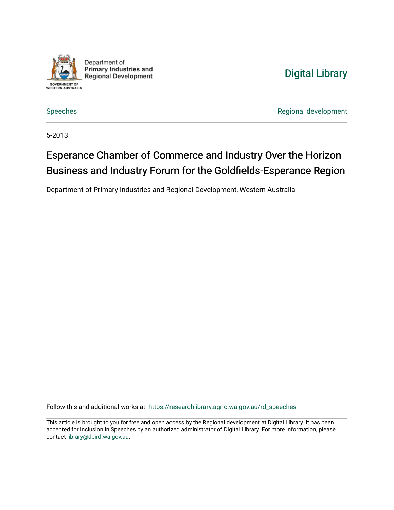

Department of **Primary Industries and Regional Development** 

## [Digital Library](https://researchlibrary.agric.wa.gov.au/)

[Speeches](https://researchlibrary.agric.wa.gov.au/rd_speeches) **Regional development** 

5-2013

## Esperance Chamber of Commerce and Industry Over the Horizon Business and Industry Forum for the Goldfields-Esperance Region

Department of Primary Industries and Regional Development, Western Australia

Follow this and additional works at: [https://researchlibrary.agric.wa.gov.au/rd\\_speeches](https://researchlibrary.agric.wa.gov.au/rd_speeches?utm_source=researchlibrary.agric.wa.gov.au%2Frd_speeches%2F2&utm_medium=PDF&utm_campaign=PDFCoverPages) 

This article is brought to you for free and open access by the Regional development at Digital Library. It has been accepted for inclusion in Speeches by an authorized administrator of Digital Library. For more information, please contact [library@dpird.wa.gov.au](mailto:library@dpird.wa.gov.au).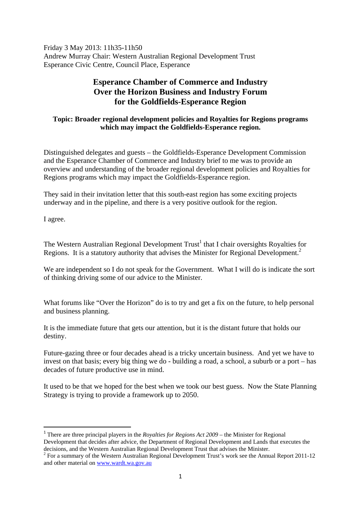Friday 3 May 2013: 11h35-11h50 Andrew Murray Chair: Western Australian Regional Development Trust Esperance Civic Centre, Council Place, Esperance

## **Esperance Chamber of Commerce and Industry Over the Horizon Business and Industry Forum for the Goldfields-Esperance Region**

## **Topic: Broader regional development policies and Royalties for Regions programs which may impact the Goldfields-Esperance region.**

Distinguished delegates and guests – the Goldfields-Esperance Development Commission and the Esperance Chamber of Commerce and Industry brief to me was to provide an overview and understanding of the broader regional development policies and Royalties for Regions programs which may impact the Goldfields-Esperance region.

They said in their invitation letter that this south-east region has some exciting projects underway and in the pipeline, and there is a very positive outlook for the region.

I agree.

The Western Australian Regional Development  $Trust<sup>1</sup>$  that I chair oversights Royalties for Regions. It is a statutory authority that advises the Minister for Regional Development.<sup>2</sup>

We are independent so I do not speak for the Government. What I will do is indicate the sort of thinking driving some of our advice to the Minister.

What forums like "Over the Horizon" do is to try and get a fix on the future, to help personal and business planning.

It is the immediate future that gets our attention, but it is the distant future that holds our destiny.

Future-gazing three or four decades ahead is a tricky uncertain business. And yet we have to invest on that basis; every big thing we do - building a road, a school, a suburb or a port – has decades of future productive use in mind.

It used to be that we hoped for the best when we took our best guess. Now the State Planning Strategy is trying to provide a framework up to 2050.

<sup>1</sup> There are three principal players in the *Royalties for Regions Act 2009* – the Minister for Regional Development that decides after advice, the Department of Regional Development and Lands that executes the decisions, and the Western Australian Regional Development Trust that advises the Minister.

 $2^2$  For a summary of the Western Australian Regional Development Trust's work see the Annual Report 2011-12 and other material on www.wardt.wa.gov.au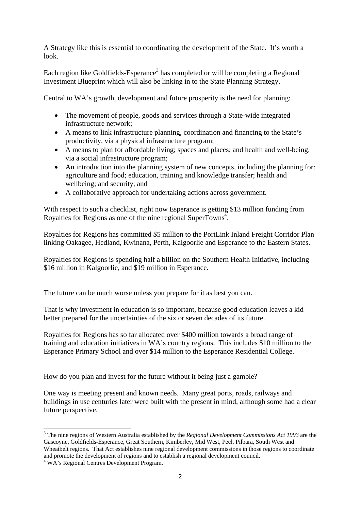A Strategy like this is essential to coordinating the development of the State. It's worth a look.

Each region like Goldfields-Esperance<sup>3</sup> has completed or will be completing a Regional Investment Blueprint which will also be linking in to the State Planning Strategy.

Central to WA's growth, development and future prosperity is the need for planning:

- The movement of people, goods and services through a State-wide integrated infrastructure network;
- A means to link infrastructure planning, coordination and financing to the State's productivity, via a physical infrastructure program;
- A means to plan for affordable living; spaces and places; and health and well-being, via a social infrastructure program;
- An introduction into the planning system of new concepts, including the planning for: agriculture and food; education, training and knowledge transfer; health and wellbeing; and security, and
- A collaborative approach for undertaking actions across government.

With respect to such a checklist, right now Esperance is getting \$13 million funding from Royalties for Regions as one of the nine regional SuperTowns<sup> $4$ </sup>.

Royalties for Regions has committed \$5 million to the PortLink Inland Freight Corridor Plan linking Oakagee, Hedland, Kwinana, Perth, Kalgoorlie and Esperance to the Eastern States.

Royalties for Regions is spending half a billion on the Southern Health Initiative, including \$16 million in Kalgoorlie, and \$19 million in Esperance.

The future can be much worse unless you prepare for it as best you can.

That is why investment in education is so important, because good education leaves a kid better prepared for the uncertainties of the six or seven decades of its future.

Royalties for Regions has so far allocated over \$400 million towards a broad range of training and education initiatives in WA's country regions. This includes \$10 million to the Esperance Primary School and over \$14 million to the Esperance Residential College.

How do you plan and invest for the future without it being just a gamble?

One way is meeting present and known needs. Many great ports, roads, railways and buildings in use centuries later were built with the present in mind, although some had a clear future perspective.

 3 The nine regions of Western Australia established by the *Regional Development Commissions Act 1993* are the Gascoyne, Goldfields-Esperance, Great Southern, Kimberley, Mid West, Peel, Pilbara, South West and Wheatbelt regions. That Act establishes nine regional development commissions in those regions to coordinate and promote the development of regions and to establish a regional development council.

<sup>4</sup> WA's Regional Centres Development Program.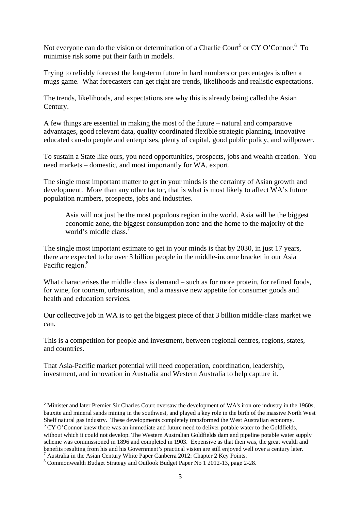Not everyone can do the vision or determination of a Charlie Court<sup>5</sup> or CY O'Connor.<sup>6</sup> To minimise risk some put their faith in models.

Trying to reliably forecast the long-term future in hard numbers or percentages is often a mugs game. What forecasters can get right are trends, likelihoods and realistic expectations.

The trends, likelihoods, and expectations are why this is already being called the Asian Century.

A few things are essential in making the most of the future – natural and comparative advantages, good relevant data, quality coordinated flexible strategic planning, innovative educated can-do people and enterprises, plenty of capital, good public policy, and willpower.

To sustain a State like ours, you need opportunities, prospects, jobs and wealth creation. You need markets – domestic, and most importantly for WA, export.

The single most important matter to get in your minds is the certainty of Asian growth and development. More than any other factor, that is what is most likely to affect WA's future population numbers, prospects, jobs and industries.

Asia will not just be the most populous region in the world. Asia will be the biggest economic zone, the biggest consumption zone and the home to the majority of the world's middle class.<sup>7</sup>

The single most important estimate to get in your minds is that by 2030, in just 17 years, there are expected to be over 3 billion people in the middle-income bracket in our Asia Pacific region.<sup>8</sup>

What characterises the middle class is demand – such as for more protein, for refined foods, for wine, for tourism, urbanisation, and a massive new appetite for consumer goods and health and education services.

Our collective job in WA is to get the biggest piece of that 3 billion middle-class market we can.

This is a competition for people and investment, between regional centres, regions, states, and countries.

That Asia-Pacific market potential will need cooperation, coordination, leadership, investment, and innovation in Australia and Western Australia to help capture it.

<sup>5</sup> Minister and later Premier Sir Charles Court oversaw the development of WA's iron ore industry in the 1960s, bauxite and mineral sands mining in the southwest, and played a key role in the birth of the massive North West Shelf natural gas industry. These developments completely transformed the West Australian economy.

<sup>&</sup>lt;sup>6</sup> CY O'Connor knew there was an immediate and future need to deliver potable water to the Goldfields, without which it could not develop. The Western Australian Goldfields dam and pipeline potable water supply scheme was commissioned in 1896 and completed in 1903. Expensive as that then was, the great wealth and benefits resulting from his and his Government's practical vision are still enjoyed well over a century later. 7

<sup>&</sup>lt;sup>7</sup> Australia in the Asian Century White Paper Canberra 2012: Chapter 2 Key Points.

Commonwealth Budget Strategy and Outlook Budget Paper No 1 2012-13, page 2-28.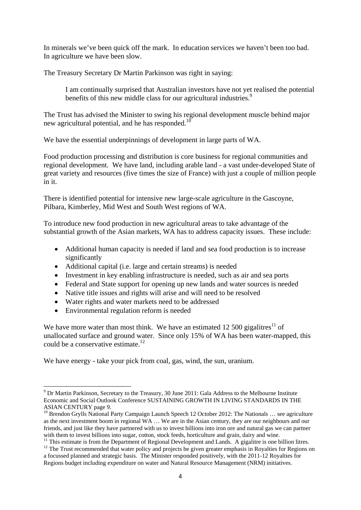In minerals we've been quick off the mark. In education services we haven't been too bad. In agriculture we have been slow.

The Treasury Secretary Dr Martin Parkinson was right in saying:

I am continually surprised that Australian investors have not yet realised the potential benefits of this new middle class for our agricultural industries.<sup>9</sup>

The Trust has advised the Minister to swing his regional development muscle behind major new agricultural potential, and he has responded.<sup>10</sup>

We have the essential underpinnings of development in large parts of WA.

Food production processing and distribution is core business for regional communities and regional development. We have land, including arable land - a vast under-developed State of great variety and resources (five times the size of France) with just a couple of million people in it.

There is identified potential for intensive new large-scale agriculture in the Gascoyne, Pilbara, Kimberley, Mid West and South West regions of WA.

To introduce new food production in new agricultural areas to take advantage of the substantial growth of the Asian markets, WA has to address capacity issues. These include:

- Additional human capacity is needed if land and sea food production is to increase significantly
- Additional capital (i.e. large and certain streams) is needed
- Investment in key enabling infrastructure is needed, such as air and sea ports
- Federal and State support for opening up new lands and water sources is needed
- Native title issues and rights will arise and will need to be resolved
- Water rights and water markets need to be addressed
- Environmental regulation reform is needed

We have more water than most think. We have an estimated 12 500 gigalitres<sup>11</sup> of unallocated surface and ground water. Since only 15% of WA has been water-mapped, this could be a conservative estimate.<sup>12</sup>

We have energy - take your pick from coal, gas, wind, the sun, uranium.

<sup>&</sup>lt;sup>9</sup> Dr Martin Parkinson, Secretary to the Treasury, 30 June 2011: Gala Address to the Melbourne Institute Economic and Social Outlook Conference SUSTAINING GROWTH IN LIVING STANDARDS IN THE ASIAN CENTURY page 9.

<sup>&</sup>lt;sup>10</sup> Brendon Grylls National Party Campaign Launch Speech 12 October 2012: The Nationals ... see agriculture as the next investment boom in regional WA … We are in the Asian century, they are our neighbours and our friends, and just like they have partnered with us to invest billions into iron ore and natural gas we can partner with them to invest billions into sugar, cotton, stock feeds, horticulture and grain, dairy and wine.

<sup>&</sup>lt;sup>11</sup> This estimate is from the Department of Regional Development and Lands. A gigalitre is one billion litres.<br><sup>12</sup> The Trust recommended that water policy and projects be given greater emphasis in Royalties for Regions

a focussed planned and strategic basis. The Minister responded positively, with the 2011-12 Royalties for Regions budget including expenditure on water and Natural Resource Management (NRM) initiatives.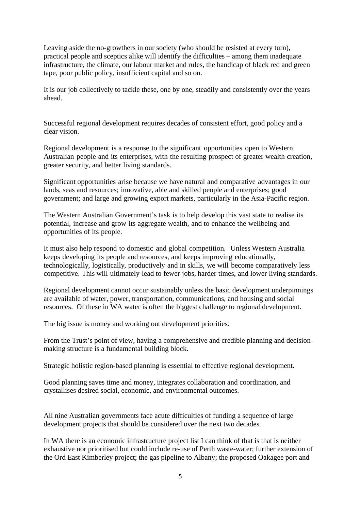Leaving aside the no-growthers in our society (who should be resisted at every turn), practical people and sceptics alike will identify the difficulties – among them inadequate infrastructure, the climate, our labour market and rules, the handicap of black red and green tape, poor public policy, insufficient capital and so on.

It is our job collectively to tackle these, one by one, steadily and consistently over the years ahead.

Successful regional development requires decades of consistent effort, good policy and a clear vision.

Regional development is a response to the significant opportunities open to Western Australian people and its enterprises, with the resulting prospect of greater wealth creation, greater security, and better living standards.

Significant opportunities arise because we have natural and comparative advantages in our lands, seas and resources; innovative, able and skilled people and enterprises; good government; and large and growing export markets, particularly in the Asia-Pacific region.

The Western Australian Government's task is to help develop this vast state to realise its potential, increase and grow its aggregate wealth, and to enhance the wellbeing and opportunities of its people.

It must also help respond to domestic and global competition. Unless Western Australia keeps developing its people and resources, and keeps improving educationally, technologically, logistically, productively and in skills, we will become comparatively less competitive. This will ultimately lead to fewer jobs, harder times, and lower living standards.

Regional development cannot occur sustainably unless the basic development underpinnings are available of water, power, transportation, communications, and housing and social resources. Of these in WA water is often the biggest challenge to regional development.

The big issue is money and working out development priorities.

From the Trust's point of view, having a comprehensive and credible planning and decisionmaking structure is a fundamental building block.

Strategic holistic region-based planning is essential to effective regional development.

Good planning saves time and money, integrates collaboration and coordination, and crystallises desired social, economic, and environmental outcomes.

All nine Australian governments face acute difficulties of funding a sequence of large development projects that should be considered over the next two decades.

In WA there is an economic infrastructure project list I can think of that is that is neither exhaustive nor prioritised but could include re-use of Perth waste-water; further extension of the Ord East Kimberley project; the gas pipeline to Albany; the proposed Oakagee port and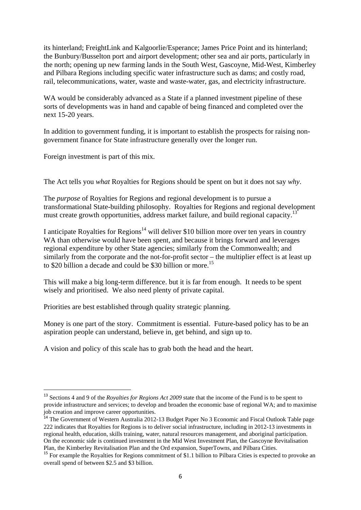its hinterland; FreightLink and Kalgoorlie/Esperance; James Price Point and its hinterland; the Bunbury/Busselton port and airport development; other sea and air ports, particularly in the north; opening up new farming lands in the South West, Gascoyne, Mid-West, Kimberley and Pilbara Regions including specific water infrastructure such as dams; and costly road, rail, telecommunications, water, waste and waste-water, gas, and electricity infrastructure.

WA would be considerably advanced as a State if a planned investment pipeline of these sorts of developments was in hand and capable of being financed and completed over the next 15-20 years.

In addition to government funding, it is important to establish the prospects for raising nongovernment finance for State infrastructure generally over the longer run.

Foreign investment is part of this mix.

The Act tells you *what* Royalties for Regions should be spent on but it does not say *why*.

The *purpose* of Royalties for Regions and regional development is to pursue a transformational State-building philosophy. Royalties for Regions and regional development must create growth opportunities, address market failure, and build regional capacity.<sup>13</sup>

I anticipate Royalties for Regions<sup>14</sup> will deliver \$10 billion more over ten years in country WA than otherwise would have been spent, and because it brings forward and leverages regional expenditure by other State agencies; similarly from the Commonwealth; and similarly from the corporate and the not-for-profit sector – the multiplier effect is at least up to \$20 billion a decade and could be \$30 billion or more.<sup>15</sup>

This will make a big long-term difference. but it is far from enough. It needs to be spent wisely and prioritised. We also need plenty of private capital.

Priorities are best established through quality strategic planning.

Money is one part of the story. Commitment is essential. Future-based policy has to be an aspiration people can understand, believe in, get behind, and sign up to.

A vision and policy of this scale has to grab both the head and the heart.

<sup>13</sup> Sections 4 and 9 of the *Royalties for Regions Act 2009* state that the income of the Fund is to be spent to provide infrastructure and services; to develop and broaden the economic base of regional WA; and to maximise job creation and improve career opportunities.

<sup>&</sup>lt;sup>14</sup> The Government of Western Australia 2012-13 Budget Paper No 3 Economic and Fiscal Outlook Table page 222 indicates that Royalties for Regions is to deliver social infrastructure, including in 2012-13 investments in regional health, education, skills training, water, natural resources management, and aboriginal participation. On the economic side is continued investment in the Mid West Investment Plan, the Gascoyne Revitalisation Plan, the Kimberley Revitalisation Plan and the Ord expansion, SuperTowns, and Pilbara Cities.

<sup>&</sup>lt;sup>15</sup> For example the Royalties for Regions commitment of \$1.1 billion to Pilbara Cities is expected to provoke an overall spend of between \$2.5 and \$3 billion.